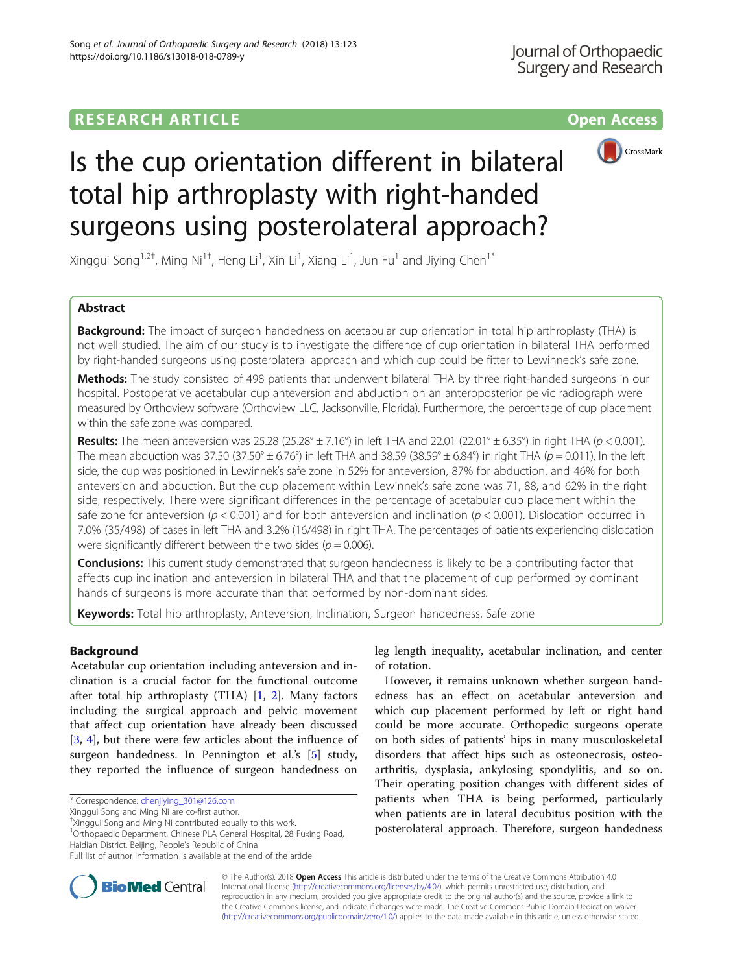# **RESEARCH ARTICLE Example 2014 12:30 The Contract of Contract ACCESS**



# Is the cup orientation different in bilateral total hip arthroplasty with right-handed surgeons using posterolateral approach?

Xinggui Song<sup>1,2†</sup>, Ming Ni<sup>1†</sup>, Heng Li<sup>1</sup>, Xin Li<sup>1</sup>, Xiang Li<sup>1</sup>, Jun Fu<sup>1</sup> and Jiying Chen<sup>1\*</sup>

# Abstract

**Background:** The impact of surgeon handedness on acetabular cup orientation in total hip arthroplasty (THA) is not well studied. The aim of our study is to investigate the difference of cup orientation in bilateral THA performed by right-handed surgeons using posterolateral approach and which cup could be fitter to Lewinneck's safe zone.

Methods: The study consisted of 498 patients that underwent bilateral THA by three right-handed surgeons in our hospital. Postoperative acetabular cup anteversion and abduction on an anteroposterior pelvic radiograph were measured by Orthoview software (Orthoview LLC, Jacksonville, Florida). Furthermore, the percentage of cup placement within the safe zone was compared.

Results: The mean anteversion was  $25.28$  ( $25.28° \pm 7.16°$ ) in left THA and  $22.01$  ( $22.01° \pm 6.35°$ ) in right THA ( $p < 0.001$ ). The mean abduction was 37.50 (37.50°  $\pm$  6.76°) in left THA and 38.59 (38.59°  $\pm$  6.84°) in right THA (p = 0.011). In the left side, the cup was positioned in Lewinnek's safe zone in 52% for anteversion, 87% for abduction, and 46% for both anteversion and abduction. But the cup placement within Lewinnek's safe zone was 71, 88, and 62% in the right side, respectively. There were significant differences in the percentage of acetabular cup placement within the safe zone for anteversion ( $p < 0.001$ ) and for both anteversion and inclination ( $p < 0.001$ ). Dislocation occurred in 7.0% (35/498) of cases in left THA and 3.2% (16/498) in right THA. The percentages of patients experiencing dislocation were significantly different between the two sides ( $p = 0.006$ ).

Conclusions: This current study demonstrated that surgeon handedness is likely to be a contributing factor that affects cup inclination and anteversion in bilateral THA and that the placement of cup performed by dominant hands of surgeons is more accurate than that performed by non-dominant sides.

Keywords: Total hip arthroplasty, Anteversion, Inclination, Surgeon handedness, Safe zone

# Background

Acetabular cup orientation including anteversion and inclination is a crucial factor for the functional outcome after total hip arthroplasty (THA) [\[1,](#page-6-0) [2\]](#page-6-0). Many factors including the surgical approach and pelvic movement that affect cup orientation have already been discussed [[3,](#page-6-0) [4](#page-6-0)], but there were few articles about the influence of surgeon handedness. In Pennington et al.'s [[5\]](#page-6-0) study, they reported the influence of surgeon handedness on

† Xinggui Song and Ming Ni contributed equally to this work.

<sup>1</sup>Orthopaedic Department, Chinese PLA General Hospital, 28 Fuxing Road, Haidian District, Beijing, People's Republic of China

leg length inequality, acetabular inclination, and center of rotation.

However, it remains unknown whether surgeon handedness has an effect on acetabular anteversion and which cup placement performed by left or right hand could be more accurate. Orthopedic surgeons operate on both sides of patients' hips in many musculoskeletal disorders that affect hips such as osteonecrosis, osteoarthritis, dysplasia, ankylosing spondylitis, and so on. Their operating position changes with different sides of patients when THA is being performed, particularly when patients are in lateral decubitus position with the posterolateral approach. Therefore, surgeon handedness



© The Author(s). 2018 Open Access This article is distributed under the terms of the Creative Commons Attribution 4.0 International License [\(http://creativecommons.org/licenses/by/4.0/](http://creativecommons.org/licenses/by/4.0/)), which permits unrestricted use, distribution, and reproduction in any medium, provided you give appropriate credit to the original author(s) and the source, provide a link to the Creative Commons license, and indicate if changes were made. The Creative Commons Public Domain Dedication waiver [\(http://creativecommons.org/publicdomain/zero/1.0/](http://creativecommons.org/publicdomain/zero/1.0/)) applies to the data made available in this article, unless otherwise stated.

<sup>\*</sup> Correspondence: [chenjiying\\_301@126.com](mailto:chenjiying_301@126.com)

Xinggui Song and Ming Ni are co-first author.

Full list of author information is available at the end of the article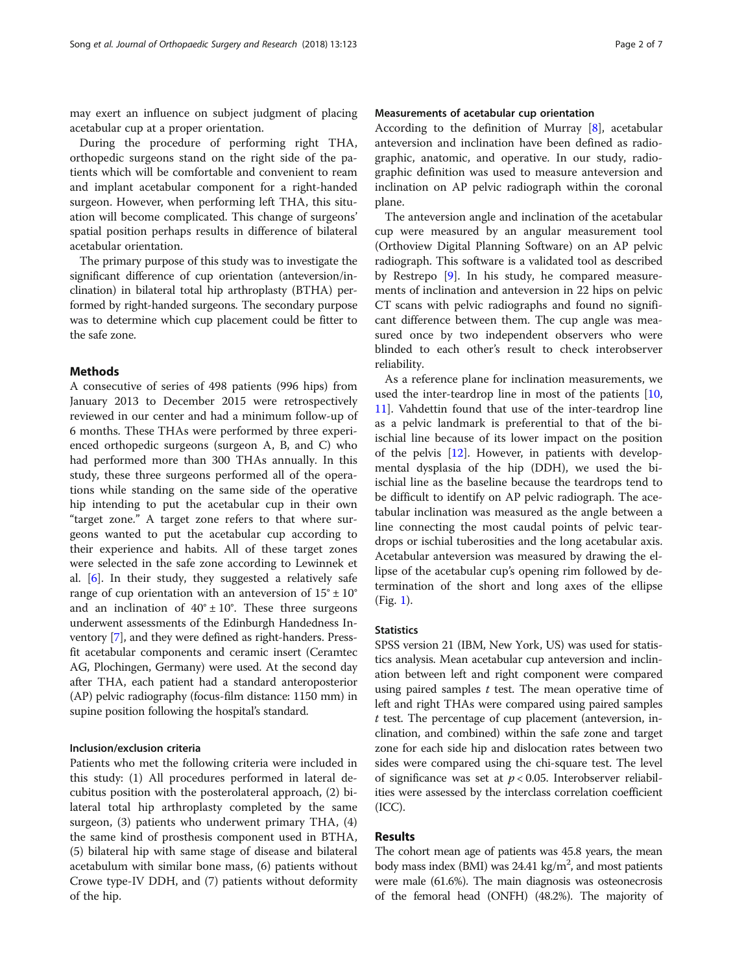may exert an influence on subject judgment of placing acetabular cup at a proper orientation.

During the procedure of performing right THA, orthopedic surgeons stand on the right side of the patients which will be comfortable and convenient to ream and implant acetabular component for a right-handed surgeon. However, when performing left THA, this situation will become complicated. This change of surgeons' spatial position perhaps results in difference of bilateral acetabular orientation.

The primary purpose of this study was to investigate the significant difference of cup orientation (anteversion/inclination) in bilateral total hip arthroplasty (BTHA) performed by right-handed surgeons. The secondary purpose was to determine which cup placement could be fitter to the safe zone.

# Methods

A consecutive of series of 498 patients (996 hips) from January 2013 to December 2015 were retrospectively reviewed in our center and had a minimum follow-up of 6 months. These THAs were performed by three experienced orthopedic surgeons (surgeon A, B, and C) who had performed more than 300 THAs annually. In this study, these three surgeons performed all of the operations while standing on the same side of the operative hip intending to put the acetabular cup in their own "target zone." A target zone refers to that where surgeons wanted to put the acetabular cup according to their experience and habits. All of these target zones were selected in the safe zone according to Lewinnek et al. [\[6](#page-6-0)]. In their study, they suggested a relatively safe range of cup orientation with an anteversion of  $15^{\circ} \pm 10^{\circ}$ and an inclination of  $40^{\circ} \pm 10^{\circ}$ . These three surgeons underwent assessments of the Edinburgh Handedness Inventory [[7](#page-6-0)], and they were defined as right-handers. Pressfit acetabular components and ceramic insert (Ceramtec AG, Plochingen, Germany) were used. At the second day after THA, each patient had a standard anteroposterior (AP) pelvic radiography (focus-film distance: 1150 mm) in supine position following the hospital's standard.

## Inclusion/exclusion criteria

Patients who met the following criteria were included in this study: (1) All procedures performed in lateral decubitus position with the posterolateral approach, (2) bilateral total hip arthroplasty completed by the same surgeon, (3) patients who underwent primary THA, (4) the same kind of prosthesis component used in BTHA, (5) bilateral hip with same stage of disease and bilateral acetabulum with similar bone mass, (6) patients without Crowe type-IV DDH, and (7) patients without deformity of the hip.

# Measurements of acetabular cup orientation

According to the definition of Murray [\[8](#page-6-0)], acetabular anteversion and inclination have been defined as radiographic, anatomic, and operative. In our study, radiographic definition was used to measure anteversion and inclination on AP pelvic radiograph within the coronal plane.

The anteversion angle and inclination of the acetabular cup were measured by an angular measurement tool (Orthoview Digital Planning Software) on an AP pelvic radiograph. This software is a validated tool as described by Restrepo [[9\]](#page-6-0). In his study, he compared measurements of inclination and anteversion in 22 hips on pelvic CT scans with pelvic radiographs and found no significant difference between them. The cup angle was measured once by two independent observers who were blinded to each other's result to check interobserver reliability.

As a reference plane for inclination measurements, we used the inter-teardrop line in most of the patients [[10](#page-6-0), [11\]](#page-6-0). Vahdettin found that use of the inter-teardrop line as a pelvic landmark is preferential to that of the biischial line because of its lower impact on the position of the pelvis [[12\]](#page-6-0). However, in patients with developmental dysplasia of the hip (DDH), we used the biischial line as the baseline because the teardrops tend to be difficult to identify on AP pelvic radiograph. The acetabular inclination was measured as the angle between a line connecting the most caudal points of pelvic teardrops or ischial tuberosities and the long acetabular axis. Acetabular anteversion was measured by drawing the ellipse of the acetabular cup's opening rim followed by determination of the short and long axes of the ellipse (Fig. [1](#page-2-0)).

# **Statistics**

SPSS version 21 (IBM, New York, US) was used for statistics analysis. Mean acetabular cup anteversion and inclination between left and right component were compared using paired samples  $t$  test. The mean operative time of left and right THAs were compared using paired samples  $t$  test. The percentage of cup placement (anteversion, inclination, and combined) within the safe zone and target zone for each side hip and dislocation rates between two sides were compared using the chi-square test. The level of significance was set at  $p < 0.05$ . Interobserver reliabilities were assessed by the interclass correlation coefficient (ICC).

# Results

The cohort mean age of patients was 45.8 years, the mean body mass index (BMI) was  $24.41 \text{ kg/m}^2$ , and most patients were male (61.6%). The main diagnosis was osteonecrosis of the femoral head (ONFH) (48.2%). The majority of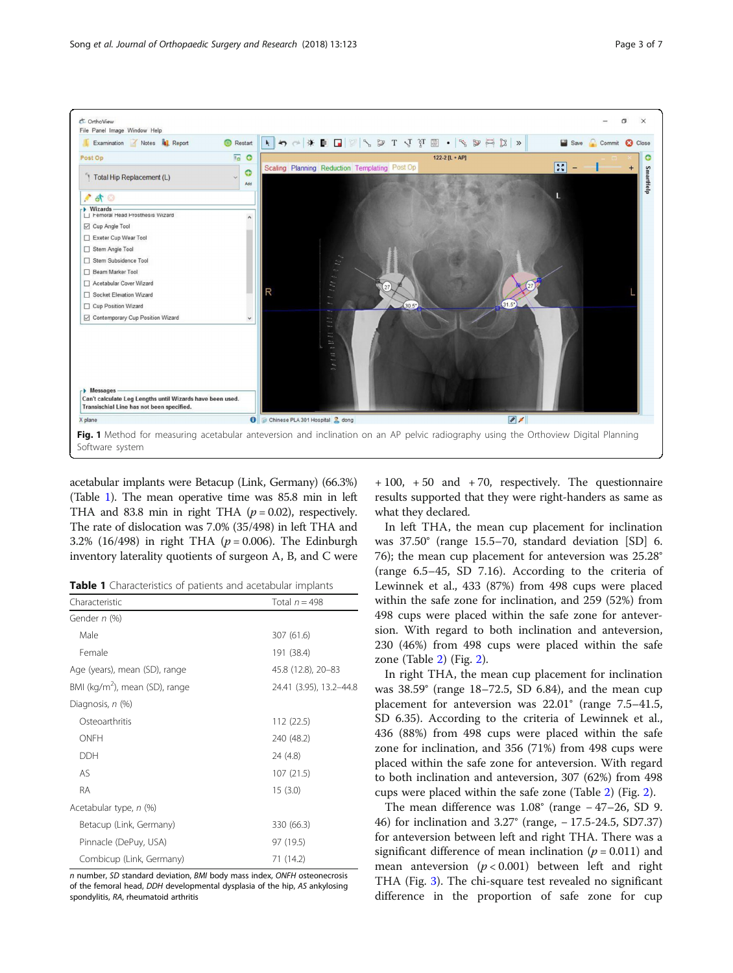<span id="page-2-0"></span>

acetabular implants were Betacup (Link, Germany) (66.3%) (Table 1). The mean operative time was 85.8 min in left THA and 83.8 min in right THA  $(p = 0.02)$ , respectively. The rate of dislocation was 7.0% (35/498) in left THA and 3.2% (16/498) in right THA ( $p = 0.006$ ). The Edinburgh inventory laterality quotients of surgeon A, B, and C were

Table 1 Characteristics of patients and acetabular implants

| Characteristic                             | Total $n = 498$         |  |  |
|--------------------------------------------|-------------------------|--|--|
| Gender n (%)                               |                         |  |  |
| Male                                       | 307 (61.6)              |  |  |
| Female                                     | 191 (38.4)              |  |  |
| Age (years), mean (SD), range              | 45.8 (12.8), 20-83      |  |  |
| BMI (kg/m <sup>2</sup> ), mean (SD), range | 24.41 (3.95), 13.2–44.8 |  |  |
| Diagnosis, n (%)                           |                         |  |  |
| Osteoarthritis                             | 112 (22.5)              |  |  |
| ONFH                                       | 240 (48.2)              |  |  |
| <b>DDH</b>                                 | 24 (4.8)                |  |  |
| AS                                         | 107(21.5)               |  |  |
| <b>RA</b>                                  | 15(3.0)                 |  |  |
| Acetabular type, n (%)                     |                         |  |  |
| Betacup (Link, Germany)                    | 330 (66.3)              |  |  |
| Pinnacle (DePuy, USA)                      | 97 (19.5)               |  |  |
| Combicup (Link, Germany)                   | 71 (14.2)               |  |  |

n number, SD standard deviation, BMI body mass index, ONFH osteonecrosis of the femoral head, DDH developmental dysplasia of the hip, AS ankylosing spondylitis, RA, rheumatoid arthritis

 $+ 100$ ,  $+ 50$  and  $+ 70$ , respectively. The questionnaire results supported that they were right-handers as same as what they declared.

In left THA, the mean cup placement for inclination was 37.50° (range 15.5–70, standard deviation [SD] 6. 76); the mean cup placement for anteversion was 25.28° (range 6.5–45, SD 7.16). According to the criteria of Lewinnek et al., 433 (87%) from 498 cups were placed within the safe zone for inclination, and 259 (52%) from 498 cups were placed within the safe zone for anteversion. With regard to both inclination and anteversion, 230 (46%) from 498 cups were placed within the safe zone (Table [2](#page-3-0)) (Fig. [2\)](#page-3-0).

In right THA, the mean cup placement for inclination was 38.59° (range 18–72.5, SD 6.84), and the mean cup placement for anteversion was 22.01° (range 7.5–41.5, SD 6.35). According to the criteria of Lewinnek et al., 436 (88%) from 498 cups were placed within the safe zone for inclination, and 356 (71%) from 498 cups were placed within the safe zone for anteversion. With regard to both inclination and anteversion, 307 (62%) from 498 cups were placed within the safe zone (Table [2](#page-3-0)) (Fig. [2\)](#page-3-0).

The mean difference was 1.08° (range − 47–26, SD 9. 46) for inclination and 3.27° (range, − 17.5-24.5, SD7.37) for anteversion between left and right THA. There was a significant difference of mean inclination ( $p = 0.011$ ) and mean anteversion  $(p < 0.001)$  between left and right THA (Fig. [3\)](#page-4-0). The chi-square test revealed no significant difference in the proportion of safe zone for cup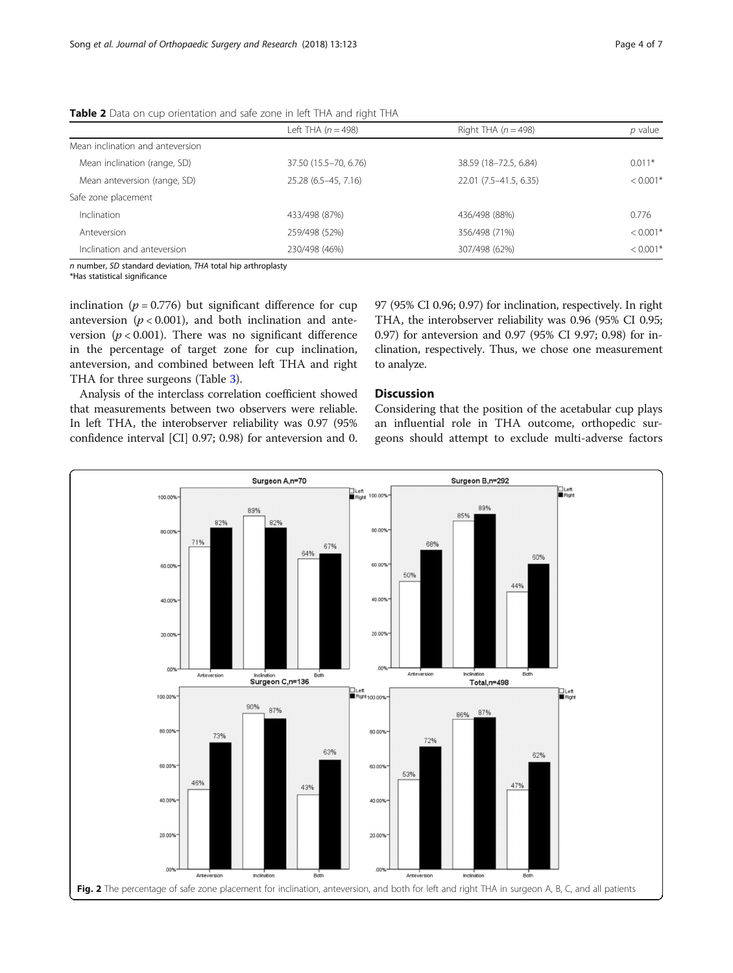|                                  | Left THA $(n = 498)$           | Right THA $(n = 498)$  | $p$ value  |  |
|----------------------------------|--------------------------------|------------------------|------------|--|
| Mean inclination and anteversion |                                |                        |            |  |
| Mean inclination (range, SD)     | 37.50 (15.5-70, 6.76)          | 38.59 (18-72.5, 6.84)  | $0.011*$   |  |
| Mean anteversion (range, SD)     | 25.28 (6.5-45, 7.16)           | 22.01 (7.5-41.5, 6.35) | $< 0.001*$ |  |
| Safe zone placement              |                                |                        |            |  |
| Inclination                      | 433/498 (87%)<br>436/498 (88%) |                        | 0.776      |  |
| Anteversion                      | 259/498 (52%)                  | 356/498 (71%)          | $< 0.001*$ |  |
| Inclination and anteversion      | 230/498 (46%)                  | 307/498 (62%)          | $< 0.001*$ |  |
|                                  |                                |                        |            |  |

<span id="page-3-0"></span>Table 2 Data on cup orientation and safe zone in left THA and right THA

n number, SD standard deviation, THA total hip arthroplasty

\*Has statistical significance

inclination ( $p = 0.776$ ) but significant difference for cup anteversion  $(p < 0.001)$ , and both inclination and anteversion ( $p < 0.001$ ). There was no significant difference in the percentage of target zone for cup inclination, anteversion, and combined between left THA and right THA for three surgeons (Table [3\)](#page-4-0).

Analysis of the interclass correlation coefficient showed that measurements between two observers were reliable. In left THA, the interobserver reliability was 0.97 (95% confidence interval [CI] 0.97; 0.98) for anteversion and 0. 97 (95% CI 0.96; 0.97) for inclination, respectively. In right THA, the interobserver reliability was 0.96 (95% CI 0.95; 0.97) for anteversion and 0.97 (95% CI 9.97; 0.98) for inclination, respectively. Thus, we chose one measurement to analyze.

# **Discussion**

Considering that the position of the acetabular cup plays an influential role in THA outcome, orthopedic surgeons should attempt to exclude multi-adverse factors

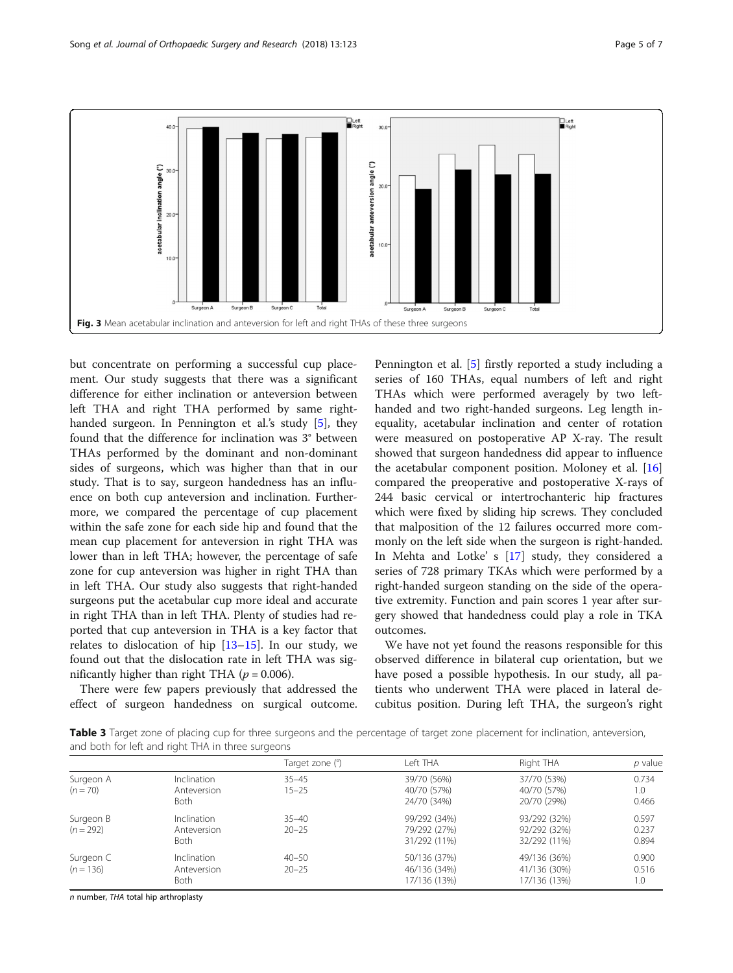<span id="page-4-0"></span>

but concentrate on performing a successful cup placement. Our study suggests that there was a significant difference for either inclination or anteversion between left THA and right THA performed by same righthanded surgeon. In Pennington et al.'s study [\[5](#page-6-0)], they found that the difference for inclination was 3° between THAs performed by the dominant and non-dominant sides of surgeons, which was higher than that in our study. That is to say, surgeon handedness has an influence on both cup anteversion and inclination. Furthermore, we compared the percentage of cup placement within the safe zone for each side hip and found that the mean cup placement for anteversion in right THA was lower than in left THA; however, the percentage of safe zone for cup anteversion was higher in right THA than in left THA. Our study also suggests that right-handed surgeons put the acetabular cup more ideal and accurate in right THA than in left THA. Plenty of studies had reported that cup anteversion in THA is a key factor that relates to dislocation of hip  $[13–15]$  $[13–15]$  $[13–15]$ . In our study, we found out that the dislocation rate in left THA was significantly higher than right THA ( $p = 0.006$ ).

There were few papers previously that addressed the effect of surgeon handedness on surgical outcome. Pennington et al. [\[5](#page-6-0)] firstly reported a study including a series of 160 THAs, equal numbers of left and right THAs which were performed averagely by two lefthanded and two right-handed surgeons. Leg length inequality, acetabular inclination and center of rotation were measured on postoperative AP X-ray. The result showed that surgeon handedness did appear to influence the acetabular component position. Moloney et al. [[16](#page-6-0)] compared the preoperative and postoperative X-rays of 244 basic cervical or intertrochanteric hip fractures which were fixed by sliding hip screws. They concluded that malposition of the 12 failures occurred more commonly on the left side when the surgeon is right-handed. In Mehta and Lotke' s [[17\]](#page-6-0) study, they considered a series of 728 primary TKAs which were performed by a right-handed surgeon standing on the side of the operative extremity. Function and pain scores 1 year after surgery showed that handedness could play a role in TKA outcomes.

We have not yet found the reasons responsible for this observed difference in bilateral cup orientation, but we have posed a possible hypothesis. In our study, all patients who underwent THA were placed in lateral decubitus position. During left THA, the surgeon's right

Table 3 Target zone of placing cup for three surgeons and the percentage of target zone placement for inclination, anteversion, and both for left and right THA in three surgeons

|                          |                                                  | Target zone (°)        | Left THA                                     | Right THA                                    | p value                 |
|--------------------------|--------------------------------------------------|------------------------|----------------------------------------------|----------------------------------------------|-------------------------|
| Surgeon A<br>$(n = 70)$  | Inclination<br>Anteversion<br><b>Both</b>        | $35 - 45$<br>$15 - 25$ | 39/70 (56%)<br>40/70 (57%)<br>24/70 (34%)    | 37/70 (53%)<br>40/70 (57%)<br>20/70 (29%)    | 0.734<br>1.0<br>0.466   |
| Surgeon B<br>$(n = 292)$ | Inclination<br>Anteversion<br><b>Both</b>        | $35 - 40$<br>$20 - 25$ | 99/292 (34%)<br>79/292 (27%)<br>31/292 (11%) | 93/292 (32%)<br>92/292 (32%)<br>32/292 (11%) | 0.597<br>0.237<br>0.894 |
| Surgeon C<br>$(n = 136)$ | <b>Inclination</b><br>Anteversion<br><b>Both</b> | $40 - 50$<br>$20 - 25$ | 50/136 (37%)<br>46/136 (34%)<br>17/136 (13%) | 49/136 (36%)<br>41/136 (30%)<br>17/136 (13%) | 0.900<br>0.516<br>1.0   |

n number, THA total hip arthroplasty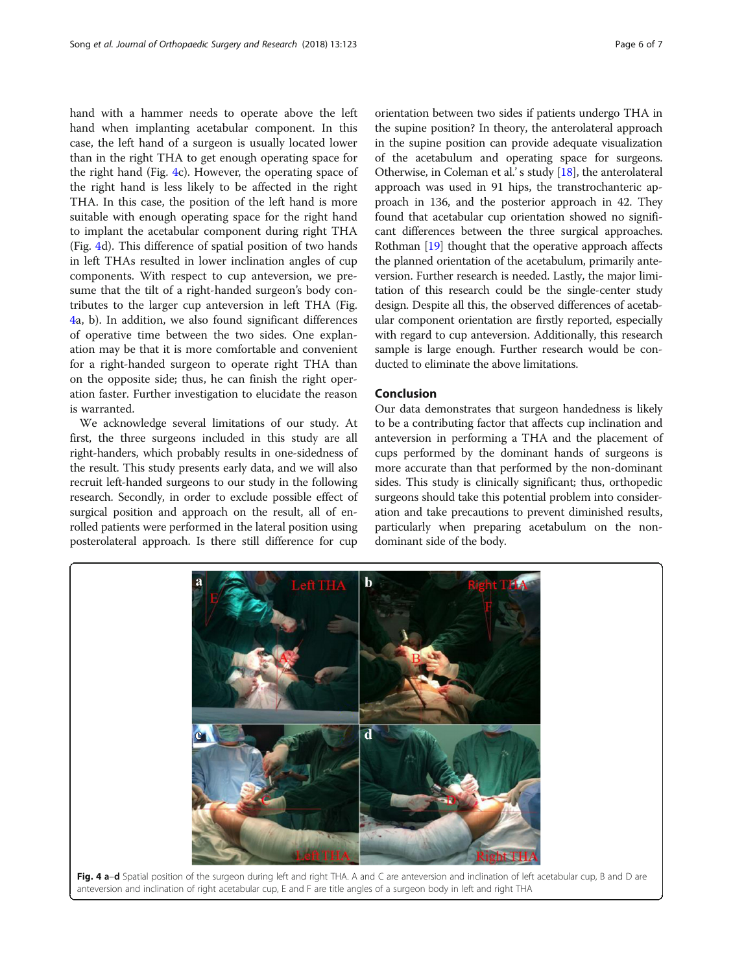hand with a hammer needs to operate above the left hand when implanting acetabular component. In this case, the left hand of a surgeon is usually located lower than in the right THA to get enough operating space for the right hand (Fig. 4c). However, the operating space of the right hand is less likely to be affected in the right THA. In this case, the position of the left hand is more suitable with enough operating space for the right hand to implant the acetabular component during right THA (Fig. 4d). This difference of spatial position of two hands in left THAs resulted in lower inclination angles of cup components. With respect to cup anteversion, we presume that the tilt of a right-handed surgeon's body contributes to the larger cup anteversion in left THA (Fig. 4a, b). In addition, we also found significant differences of operative time between the two sides. One explanation may be that it is more comfortable and convenient for a right-handed surgeon to operate right THA than on the opposite side; thus, he can finish the right operation faster. Further investigation to elucidate the reason is warranted.

We acknowledge several limitations of our study. At first, the three surgeons included in this study are all right-handers, which probably results in one-sidedness of the result. This study presents early data, and we will also recruit left-handed surgeons to our study in the following research. Secondly, in order to exclude possible effect of surgical position and approach on the result, all of enrolled patients were performed in the lateral position using posterolateral approach. Is there still difference for cup

orientation between two sides if patients undergo THA in the supine position? In theory, the anterolateral approach in the supine position can provide adequate visualization of the acetabulum and operating space for surgeons. Otherwise, in Coleman et al.' s study [[18](#page-6-0)], the anterolateral approach was used in 91 hips, the transtrochanteric approach in 136, and the posterior approach in 42. They found that acetabular cup orientation showed no significant differences between the three surgical approaches. Rothman [\[19\]](#page-6-0) thought that the operative approach affects the planned orientation of the acetabulum, primarily anteversion. Further research is needed. Lastly, the major limitation of this research could be the single-center study design. Despite all this, the observed differences of acetabular component orientation are firstly reported, especially with regard to cup anteversion. Additionally, this research sample is large enough. Further research would be conducted to eliminate the above limitations.

# Conclusion

Our data demonstrates that surgeon handedness is likely to be a contributing factor that affects cup inclination and anteversion in performing a THA and the placement of cups performed by the dominant hands of surgeons is more accurate than that performed by the non-dominant sides. This study is clinically significant; thus, orthopedic surgeons should take this potential problem into consideration and take precautions to prevent diminished results, particularly when preparing acetabulum on the nondominant side of the body.